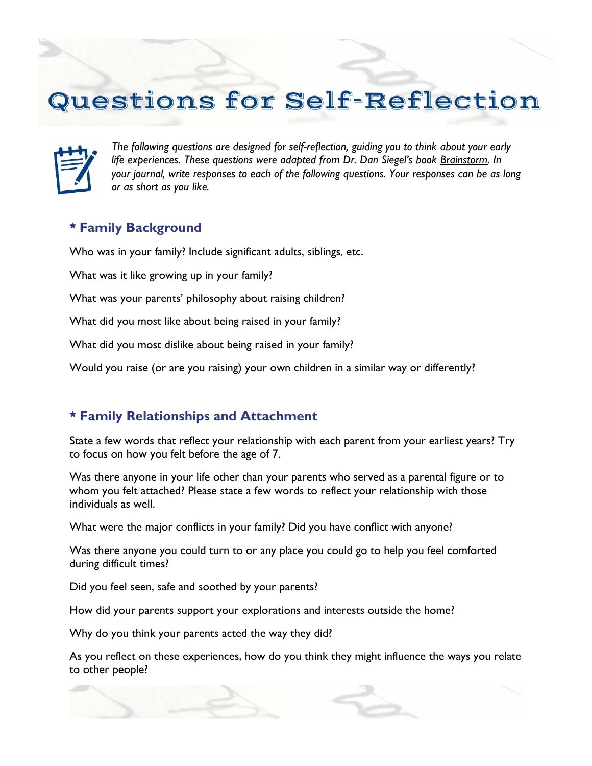## Questions for Self-Reflection



*The following questions are designed for self-reflection, guiding you to think about your early life experiences. These questions were adapted from Dr. Dan Siegel's book Brainstorm. In your journal, write responses to each of the following questions. Your responses can be as long or as short as you like.* 

## **\* Family Background**

Who was in your family? Include significant adults, siblings, etc.

What was it like growing up in your family?

What was your parents' philosophy about raising children?

What did you most like about being raised in your family?

What did you most dislike about being raised in your family?

Would you raise (or are you raising) your own children in a similar way or differently?

## **\* Family Relationships and Attachment**

State a few words that reflect your relationship with each parent from your earliest years? Try to focus on how you felt before the age of 7.

Was there anyone in your life other than your parents who served as a parental figure or to whom you felt attached? Please state a few words to reflect your relationship with those individuals as well.

What were the major conflicts in your family? Did you have conflict with anyone?

Was there anyone you could turn to or any place you could go to help you feel comforted during difficult times?

Did you feel seen, safe and soothed by your parents?

How did your parents support your explorations and interests outside the home?

Why do you think your parents acted the way they did?

As you reflect on these experiences, how do you think they might influence the ways you relate to other people?